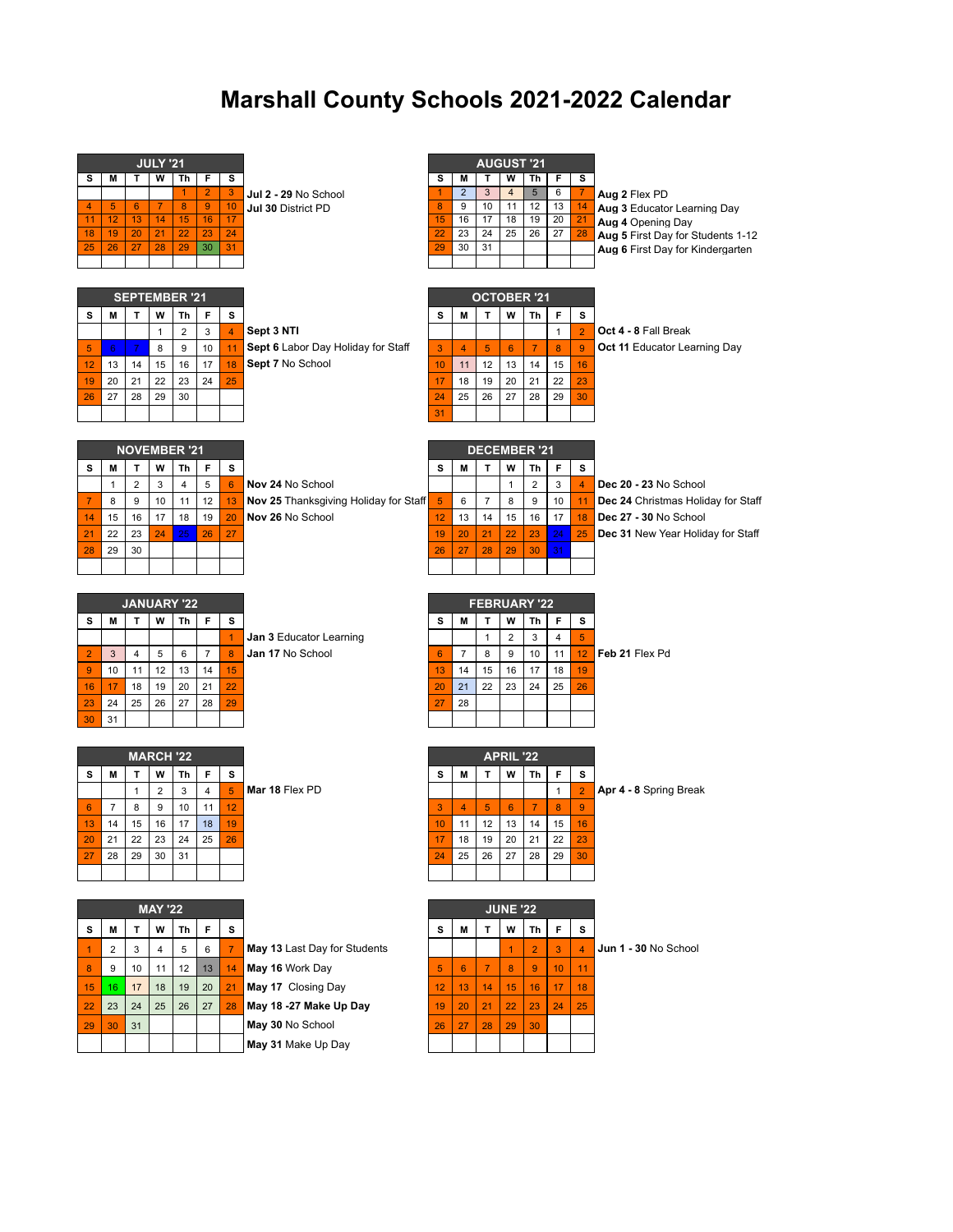## **Marshall County Schools 2021-2022 Calendar**

|                      |                  |                      | <b>JULY '21</b>  |                 |                      |                  |                                       |                 |                |                     | <b>AUGUST '21</b>       |                |                  |                |                                                        |
|----------------------|------------------|----------------------|------------------|-----------------|----------------------|------------------|---------------------------------------|-----------------|----------------|---------------------|-------------------------|----------------|------------------|----------------|--------------------------------------------------------|
| s                    | M                | т                    | w                | Th              | F                    | s                |                                       | s               | М              | т                   | W                       | Th             | F                | s              |                                                        |
|                      |                  |                      |                  | 1               | $\overline{2}$       | 3                | Jul 2 - 29 No School                  | 1               | $\overline{2}$ | 3                   | $\overline{\mathbf{4}}$ | 5              | 6                | $\overline{7}$ | Aug 2 Flex PD                                          |
| $\overline{4}$<br>11 | $\sqrt{5}$<br>12 | 6<br>13              | 7<br>14          | 8<br>15         | $\overline{9}$<br>16 | 10<br>17         | Jul 30 District PD                    | 8<br>15         | 9<br>16        | 10<br>17            | 11<br>18                | 12<br>19       | 13<br>20         | 14<br>21       | Aug 3 Educator Learning Day                            |
| 18                   | 19               | 20                   | 21               | $\overline{22}$ | 23                   | 24               |                                       | $\overline{22}$ | 23             | 24                  | 25                      | 26             | 27               | 28             | Aug 4 Opening Day<br>Aug 5 First Day for Students 1-12 |
| 25                   | 26               | 27                   | 28               | 29              | 30                   | 31               |                                       | 29              | 30             | 31                  |                         |                |                  |                | Aug 6 First Day for Kindergarten                       |
|                      |                  |                      |                  |                 |                      |                  |                                       |                 |                |                     |                         |                |                  |                |                                                        |
|                      |                  |                      |                  |                 |                      |                  |                                       |                 |                |                     |                         |                |                  |                |                                                        |
|                      |                  | <b>SEPTEMBER '21</b> |                  |                 |                      |                  |                                       |                 |                | <b>OCTOBER '21</b>  |                         |                |                  |                |                                                        |
| s                    | M                | т                    | w                | Τh              | F                    | s                |                                       | s               | M              | Т                   | w                       | Th             | F                | s              |                                                        |
|                      |                  |                      | $\mathbf{1}$     | $\overline{2}$  | 3                    | $\overline{4}$   | Sept 3 NTI                            |                 |                |                     |                         |                | $\mathbf{1}$     | $\overline{2}$ | Oct 4 - 8 Fall Break                                   |
| 5                    | 6                | $\overline{7}$       | 8                | 9               | 10                   | 11               | Sept 6 Labor Day Holiday for Staff    | 3               | $\overline{4}$ | 5                   | 6                       | $\overline{7}$ | 8                | $\overline{9}$ | <b>Oct 11 Educator Learning Day</b>                    |
| 12                   | 13               | 14                   | 15               | 16              | 17                   | 18               | Sept 7 No School                      | 10              | 11             | 12                  | 13                      | 14             | 15               | 16             |                                                        |
| 19                   | 20               | 21                   | 22               | 23              | 24                   | 25               |                                       | 17              | 18             | 19                  | 20                      | 21             | 22               | 23             |                                                        |
| 26                   | 27               | 28                   | 29               | 30              |                      |                  |                                       | 24              | 25             | 26                  | 27                      | 28             | 29               | 30             |                                                        |
|                      |                  |                      |                  |                 |                      |                  |                                       | 31              |                |                     |                         |                |                  |                |                                                        |
|                      |                  |                      |                  |                 |                      |                  |                                       |                 |                |                     |                         |                |                  |                |                                                        |
|                      |                  | <b>NOVEMBER '21</b>  |                  |                 |                      |                  |                                       |                 |                | <b>DECEMBER '21</b> |                         |                |                  |                |                                                        |
| s                    | M                | T                    | W                | Th              | F                    | s                |                                       | s               | M              | T                   | W                       | Th             | F                | s              |                                                        |
|                      | $\mathbf{1}$     | $\overline{2}$       | 3                | 4               | 5                    | 6                | Nov 24 No School                      |                 |                |                     | $\mathbf{1}$            | $\overline{2}$ | 3                | $\overline{4}$ | Dec 20 - 23 No School                                  |
| $\overline{7}$       | 8                | 9                    | 10               | 11              | 12                   | 13               | Nov 25 Thanksgiving Holiday for Staff | 5               | 6              | $\overline{7}$      | 8                       | 9              | 10               | 11             | Dec 24 Christmas Holiday for Staff                     |
| 14                   | 15               | 16                   | 17               | 18              | 19                   | 20               | Nov 26 No School                      | 12              | 13             | 14                  | 15                      | 16             | 17               | 18             | Dec 27 - 30 No School                                  |
| 21                   | 22               | 23                   | 24               | 25              | 26                   | 27               |                                       | 19              | 20             | 21                  | 22                      | 23             | 24               | 25             | Dec 31 New Year Holiday for Staff                      |
| 28                   | 29               | 30                   |                  |                 |                      |                  |                                       | 26              | 27             | 28                  | 29                      | 30             | 31               |                |                                                        |
|                      |                  |                      |                  |                 |                      |                  |                                       |                 |                |                     |                         |                |                  |                |                                                        |
|                      |                  |                      |                  |                 |                      |                  |                                       |                 |                |                     |                         |                |                  |                |                                                        |
|                      |                  | <b>JANUARY '22</b>   |                  |                 |                      |                  |                                       |                 |                | <b>FEBRUARY '22</b> |                         |                |                  |                |                                                        |
| s                    | M                | т                    | W                | Th              | F                    | s                |                                       | s               | М              | т                   | W                       | Th             | F                | s              |                                                        |
|                      |                  |                      |                  |                 |                      |                  |                                       |                 |                |                     |                         |                |                  |                |                                                        |
|                      |                  |                      |                  |                 |                      | $\mathbf{1}$     | Jan 3 Educator Learning               |                 |                | $\mathbf{1}$        | $\overline{2}$          | 3              | 4                | 5              |                                                        |
| $\overline{2}$       | 3                | 4                    | 5                | 6               | $\overline{7}$       | $\boldsymbol{8}$ | Jan 17 No School                      | 6               | $\overline{7}$ | 8                   | 9                       | 10             | 11               | 12             | Feb 21 Flex Pd                                         |
| $9\,$                | 10               | 11                   | 12               | 13              | 14                   | 15               |                                       | 13              | 14             | 15                  | 16                      | 17             | 18               | 19             |                                                        |
| 16                   | 17               | 18                   | 19               | 20              | 21                   | 22               |                                       | 20              | 21             | 22                  | 23                      | 24             | 25               | 26             |                                                        |
| 23                   | 24               | 25                   | 26               | 27              | 28                   | 29               |                                       | 27              | 28             |                     |                         |                |                  |                |                                                        |
| 30                   | 31               |                      |                  |                 |                      |                  |                                       |                 |                |                     |                         |                |                  |                |                                                        |
|                      |                  |                      |                  |                 |                      |                  |                                       |                 |                |                     |                         |                |                  |                |                                                        |
|                      |                  |                      | <b>MARCH '22</b> |                 |                      |                  |                                       |                 |                |                     | <b>APRIL '22</b>        |                |                  |                |                                                        |
| s                    | M                | Т                    | W                | Th              | F                    | s                |                                       | s               | M              | т                   | W                       | Th             | F                | s              |                                                        |
|                      |                  | $\mathbf{1}$         | $\overline{2}$   | 3               | $\overline{4}$       | 5 <sup>5</sup>   | Mar 18 Flex PD                        |                 |                |                     |                         |                | $\mathbf{1}$     | $\overline{2}$ | Apr 4 - 8 Spring Break                                 |
| 6                    | $\overline{7}$   | 8                    | 9                | 10              | 11                   | 12               |                                       | 3               | $\overline{4}$ | $\overline{5}$      | $6\phantom{1}6$         | $\overline{7}$ | $\boldsymbol{8}$ | 9 <sup>°</sup> |                                                        |
| 13                   | 14               | 15                   | 16               | 17              | 18                   | 19               |                                       | 10              | 11             | 12                  | 13                      | 14             | 15               | 16             |                                                        |
| 20                   | 21               | 22                   | 23               | 24              | 25                   | 26               |                                       | 17              | 18             | 19                  | 20                      | 21             | 22               | 23             |                                                        |
| 27                   | 28               | 29                   | 30               | 31              |                      |                  |                                       | 24              | 25             | 26                  | 27                      | 28             | 29               | 30             |                                                        |
|                      |                  |                      |                  |                 |                      |                  |                                       |                 |                |                     |                         |                |                  |                |                                                        |
|                      |                  |                      |                  |                 |                      |                  |                                       |                 |                |                     |                         |                |                  |                |                                                        |
|                      |                  |                      | <b>MAY '22</b>   |                 |                      |                  |                                       |                 |                |                     | <b>JUNE '22</b>         |                |                  |                |                                                        |
| s                    | M                | т                    | W                | Th              | F                    | s                |                                       | s               | M              | т                   | W                       | Th             | F                | s              |                                                        |
| $\overline{1}$       | $\overline{2}$   | 3                    | $\overline{4}$   | 5               | 6                    | $\overline{7}$   | May 13 Last Day for Students          |                 |                |                     | $\mathbf{1}$            | 2 <sup>1</sup> | 3                | $\overline{4}$ | Jun 1 - 30 No School                                   |
| 8                    | 9                | 10                   | 11               | 12              | 13                   | 14               | May 16 Work Day                       | 5               | 6              | $\overline{7}$      | 8                       | $\overline{9}$ | 10 <sub>1</sub>  | 11             |                                                        |
| 15                   | 16               | 17                   | 18               | 19              | 20                   | 21               | May 17 Closing Day                    | 12              | 13             | 14                  | 15                      | 16             | 17               | 18             |                                                        |
| 22                   | 23               | 24                   | 25               | 26              | 27                   | 28               | May 18 -27 Make Up Day                | 19              | 20             | 21                  | 22                      | 23             | 24               | 25             |                                                        |

**May 31** Make Up Day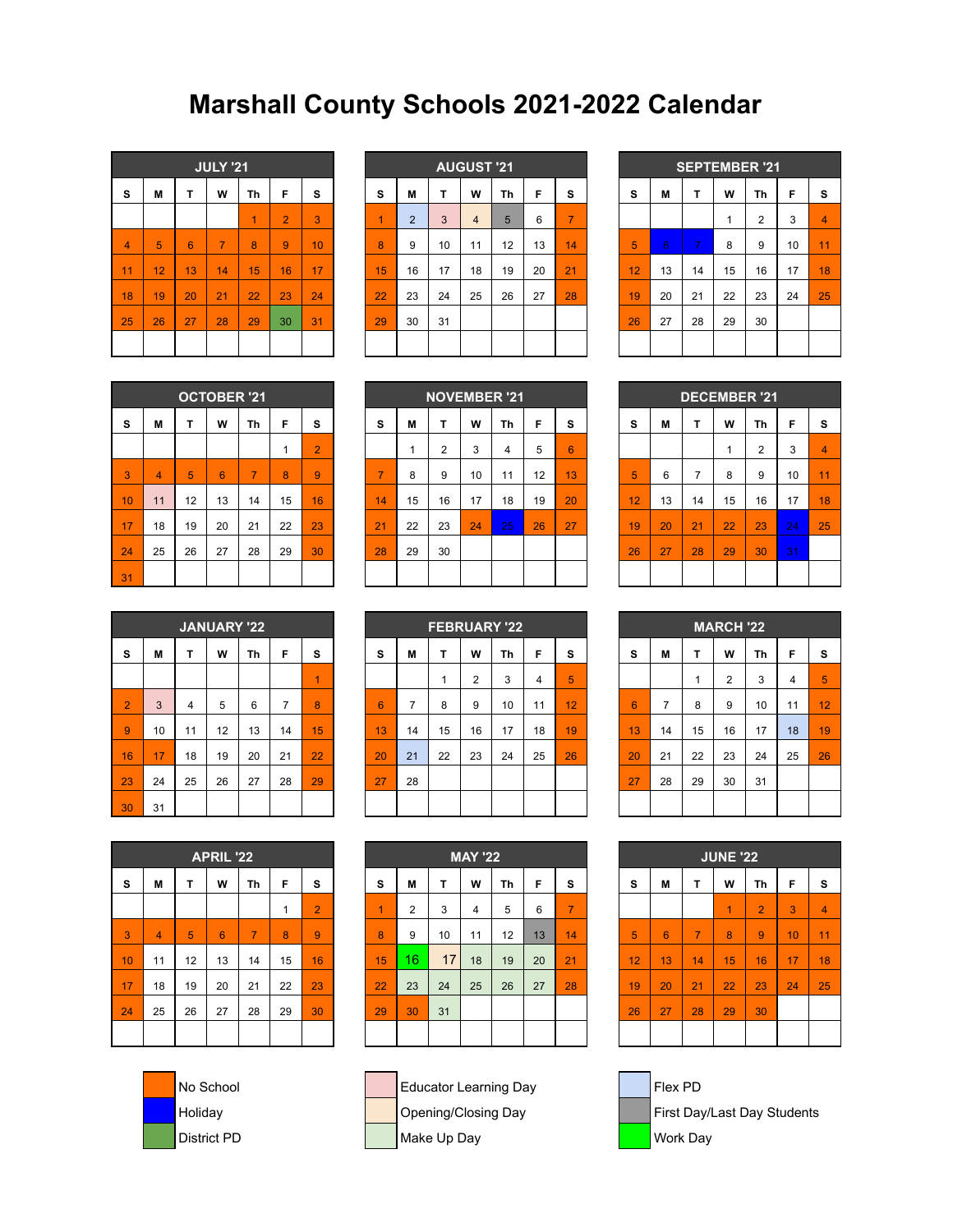## **Marshall County Schools 2021-2022 Calendar**

|                |    |                 | <b>JULY '21</b> |    |                |    |
|----------------|----|-----------------|-----------------|----|----------------|----|
| S              | M  | T               | W               | Th | F              | s  |
|                |    |                 |                 | 1  | $\overline{2}$ | 3  |
| $\overline{4}$ | 5  | $6\phantom{1}6$ | $\overline{7}$  | 8  | 9              | 10 |
| 11             | 12 | 13              | 14              | 15 | 16             | 17 |
| 18             | 19 | 20              | 21              | 22 | 23             | 24 |
| 25             | 26 | 27              | 28              | 29 | 30             | 31 |
|                |    |                 |                 |    |                |    |

|    |    |    | <b>JULY '21</b> |                 |                |    |    |                |    | <b>AUGUST '21</b> |    |    |                |    |    |                          |    | <b>SEPTEMBER '21</b> |    |                 |
|----|----|----|-----------------|-----------------|----------------|----|----|----------------|----|-------------------|----|----|----------------|----|----|--------------------------|----|----------------------|----|-----------------|
|    |    |    |                 |                 |                |    |    |                |    |                   |    |    |                |    |    |                          |    |                      |    |                 |
| s  | м  |    | W               | Τh              | F              | s  | s  | M              |    | W                 | Th | F  | s              | S  | М  | т                        | W  | Th                   | F  | <b>S</b>        |
|    |    |    |                 |                 | $\overline{2}$ | 3  | 1  | $\overline{2}$ | 3  | 4                 | 5  | 6  | $\overline{7}$ |    |    |                          |    | 2                    | 3  | $\overline{4}$  |
| 4  | 5  | 6  | $\overline{7}$  | 8               | 9              | 10 | 8  | 9              | 10 | 11                | 12 | 13 | 14             | 5  | 6  | $\overline{\phantom{a}}$ | 8  | 9                    | 10 | 11              |
| 11 | 12 | 13 | 14              | $\overline{15}$ | 16             | 17 | 15 | 16             | 17 | 18                | 19 | 20 | 21             | 12 | 13 | 14                       | 15 | 16                   | 17 | $\overline{18}$ |
| 18 | 19 | 20 | 21              | 22              | 23             | 24 | 22 | 23             | 24 | 25                | 26 | 27 | 28             | 19 | 20 | 21                       | 22 | 23                   | 24 | 25              |
| 25 | 26 | 27 | 28              | 29              | 30             | 31 | 29 | 30             | 31 |                   |    |    |                | 26 | 27 | 28                       | 29 | 30                   |    |                 |
|    |    |    |                 |                 |                |    |    |                |    |                   |    |    |                |    |    |                          |    |                      |    |                 |
|    |    |    |                 |                 |                |    |    |                |    |                   |    |    |                |    |    |                          |    |                      |    |                 |

|    |    |                |    | <b>SEPTEMBER '21</b> |    |                |
|----|----|----------------|----|----------------------|----|----------------|
| s  | M  | т              | W  | Th                   | F  | S              |
|    |    |                | 1  | $\overline{2}$       | 3  | $\overline{4}$ |
| 5  | 6  | $\overline{7}$ | 8  | 9                    | 10 | 11             |
| 12 | 13 | 14             | 15 | 16                   | 17 | 18             |
| 19 | 20 | 21             | 22 | 23                   | 24 | 25             |
| 26 | 27 | 28             | 29 | 30                   |    |                |
|    |    |                |    |                      |    |                |

|    |                |    | <b>OCTOBER '21</b> |                |    |                |
|----|----------------|----|--------------------|----------------|----|----------------|
| S  | M              | T  | W                  | Th             | F  | s              |
|    |                |    |                    |                | 1  | $\overline{2}$ |
| 3  | $\overline{4}$ | 5  | 6                  | $\overline{7}$ | 8  | 9              |
| 10 | 11             | 12 | 13                 | 14             | 15 | 16             |
| 17 | 18             | 19 | 20                 | 21             | 22 | 23             |
| 24 | 25             | 26 | 27                 | 28             | 29 | 30             |
| 31 |                |    |                    |                |    |                |

|    |    |    | <b>OCTOBER '21</b> |                |    |                |          |    |            | <b>NOVEMBER '21</b> |    |    |    |    |    | <b>DECEMBER '21</b> |    |    |    |                 |
|----|----|----|--------------------|----------------|----|----------------|----------|----|------------|---------------------|----|----|----|----|----|---------------------|----|----|----|-----------------|
| s  | м  |    | W                  | Τh             | F  | s              | <b>S</b> | M  |            | W                   | Τh | F  | s  | s  | М  | ┳                   | W  | Τh | F  | s               |
|    |    |    |                    |                |    | $\overline{2}$ |          |    | $\sqrt{2}$ | 3                   | 4  | 5  | 6  |    |    |                     |    | 2  | 3  | $\overline{4}$  |
| 3  | 4  | 5  | 6                  | $\overline{7}$ | 8  | 9              | ⇁        | 8  | 9          | 10                  | 11 | 12 | 13 | 5  | 6  | –                   | 8  | 9  | 10 | $\overline{11}$ |
| 10 | 11 | 12 | 13                 | 14             | 15 | 16             | 14       | 15 | 16         | 17                  | 18 | 19 | 20 | 12 | 13 | 14                  | 15 | 16 | 17 | $\overline{18}$ |
| 17 | 18 | 19 | 20                 | 21             | 22 | 23             | 21       | 22 | 23         | 24                  | 25 | 26 | 27 | 19 | 20 | 21                  | 22 | 23 | 24 | 25              |
| 24 | 25 | 26 | 27                 | 28             | 29 | 30             | 28       | 29 | 30         |                     |    |    |    | 26 | 27 | 28                  | 29 | 30 | 31 |                 |
| 31 |    |    |                    |                |    |                |          |    |            |                     |    |    |    |    |    |                     |    |    |    |                 |

|    |    |                |    | <b>DECEMBER '21</b> |    |                |
|----|----|----------------|----|---------------------|----|----------------|
| S  | M  | T              | W  | Th                  | F  | s              |
|    |    |                | 1  | $\overline{2}$      | 3  | $\overline{4}$ |
| 5  | 6  | $\overline{7}$ | 8  | 9                   | 10 | 11             |
| 12 | 13 | 14             | 15 | 16                  | 17 | 18             |
| 19 | 20 | 21             | 22 | 23                  | 24 | 25             |
| 26 | 27 | 28             | 29 | 30                  | 31 |                |
|    |    |                |    |                     |    |                |

|                |              |                | <b>JANUARY '22</b> |    |                |    |
|----------------|--------------|----------------|--------------------|----|----------------|----|
| S              | M            | T              | W                  | Th | F              | s  |
|                |              |                |                    |    |                | 1  |
| $\overline{2}$ | $\mathbf{3}$ | $\overline{4}$ | 5                  | 6  | $\overline{7}$ | 8  |
| 9              | 10           | 11             | 12                 | 13 | 14             | 15 |
| 16             | 17           | 18             | 19                 | 20 | 21             | 22 |
| 23             | 24           | 25             | 26                 | 27 | 28             | 29 |
| 30             | 31           |                |                    |    |                |    |

|                |    |    | <b>JANUARY '22</b> |    |    |    |    |                        |    |    | <b>FEBRUARY '22</b> |    |    |  |    |    |    | <b>MARCH '22</b> |    |    |                 |
|----------------|----|----|--------------------|----|----|----|----|------------------------|----|----|---------------------|----|----|--|----|----|----|------------------|----|----|-----------------|
| s              | м  |    | W                  | Τh | F  | s  | s  | M<br>W<br>Th<br>Е<br>s |    |    |                     |    |    |  |    | м  | T  | W                | Τh | F  | <b>s</b>        |
|                |    |    |                    |    |    | и  |    |                        |    | 2  | 3                   | 4  | 5  |  |    |    |    | $\sim$<br>∠      | 3  | 4  | 5               |
| $\overline{2}$ | 3  | 4  | 5                  | 6  |    | 8  | 6  | ⇁                      | 8  | 9  | 10                  | 11 | 12 |  | 6  |    | 8  | 9                | 10 | 11 | 12 <sup>2</sup> |
| 9              | 10 | 11 | 12                 | 13 | 14 | 15 | 13 | 14                     | 15 | 16 | 17                  | 18 | 19 |  | 13 | 14 | 15 | 16               | 17 | 18 | 19              |
| 16             | 17 | 18 | 19                 | 20 | 21 | 22 | 20 | 21                     | 22 | 23 | 24                  | 25 | 26 |  | 20 | 21 | 22 | 23               | 24 | 25 | 26              |
| 23             | 24 | 25 | 26                 | 27 | 28 | 29 | 27 | 28                     |    |    |                     |    |    |  | 27 | 28 | 29 | 30               | 31 |    |                 |
| 30             | 31 |    |                    |    |    |    |    |                        |    |    |                     |    |    |  |    |    |    |                  |    |    |                 |

|                 |                |    | <b>MARCH '22</b> |    |                |                |
|-----------------|----------------|----|------------------|----|----------------|----------------|
| S               | M              | т  | Th               | F  | s              |                |
|                 |                | 1  | $\overline{2}$   | 3  | $\overline{4}$ | $\overline{5}$ |
| $6\phantom{1}6$ | $\overline{7}$ | 8  | 9                | 10 | 11             | 12             |
| 13              | 14             | 15 | 16               | 17 | 18             | 19             |
| 20              | 21             | 22 | 23               | 24 | 25             | 26             |
| 27              | 28             | 29 | 30               | 31 |                |                |
|                 |                |    |                  |    |                |                |

|    |                |    | <b>APRIL '22</b> |                |    |                |
|----|----------------|----|------------------|----------------|----|----------------|
| S  | M              | T  | F                | S              |    |                |
|    |                |    |                  |                | 1  | $\overline{2}$ |
| 3  | $\overline{4}$ | 5  | 6                | $\overline{7}$ | 8  | 9              |
| 10 | 11             | 12 | 13               | 14             | 15 | 16             |
| 17 | 18             | 19 | 20               | 21             | 22 | 23             |
| 24 | 25<br>26       |    | 27               | 28             | 29 | 30             |
|    |                |    |                  |                |    |                |



|    |                |    | <b>APRIL '22</b> |                |    |                |    |                |    | <b>MAY '22</b> |    |    |                 |                 |    |                | <b>JUNE '22</b> |                |    |                |
|----|----------------|----|------------------|----------------|----|----------------|----|----------------|----|----------------|----|----|-----------------|-----------------|----|----------------|-----------------|----------------|----|----------------|
| s  | М              |    | W                | Th             | F  | s              | s  | M              |    | W              | Th | F  | s               | s               | м  | т              | W               | Th             | F  | -S             |
|    |                |    |                  |                |    | $\overline{2}$ | 1  | $\overline{2}$ | 3  | 4              | 5  | 6  | $\overline{7}$  |                 |    |                | ×               | $\overline{2}$ | 3  | $\overline{4}$ |
| 3  | $\overline{4}$ | 5  | 6                | $\overline{7}$ | 8  | 9              | 8  | 9              | 10 | 11             | 12 | 13 | 14              | 5               | 6  | $\overline{7}$ | 8               | 9              | 10 | 11             |
| 10 | 11             | 12 | 13               | 14             | 15 | 16             | 15 | 16             | 17 | 18             | 19 | 20 | $\overline{21}$ | $\overline{12}$ | 13 | 14             | 15              | 16             | 17 | 18             |
| 17 | 18             | 19 | 20               | 21             | 22 | 23             | 22 | 23             | 24 | 25             | 26 | 27 | 28              | 19              | 20 | 21             | 22              | 23             | 24 | 25             |
| 24 | 25             | 26 | 27               | 28             | 29 | 30             | 29 | 30             | 31 |                |    |    |                 | 26              | 27 | 28             | 29              | 30             |    |                |
|    |                |    |                  |                |    |                |    |                |    |                |    |    |                 |                 |    |                |                 |                |    |                |
|    |                |    |                  |                |    |                |    |                |    |                |    |    |                 |                 |    |                |                 |                |    |                |





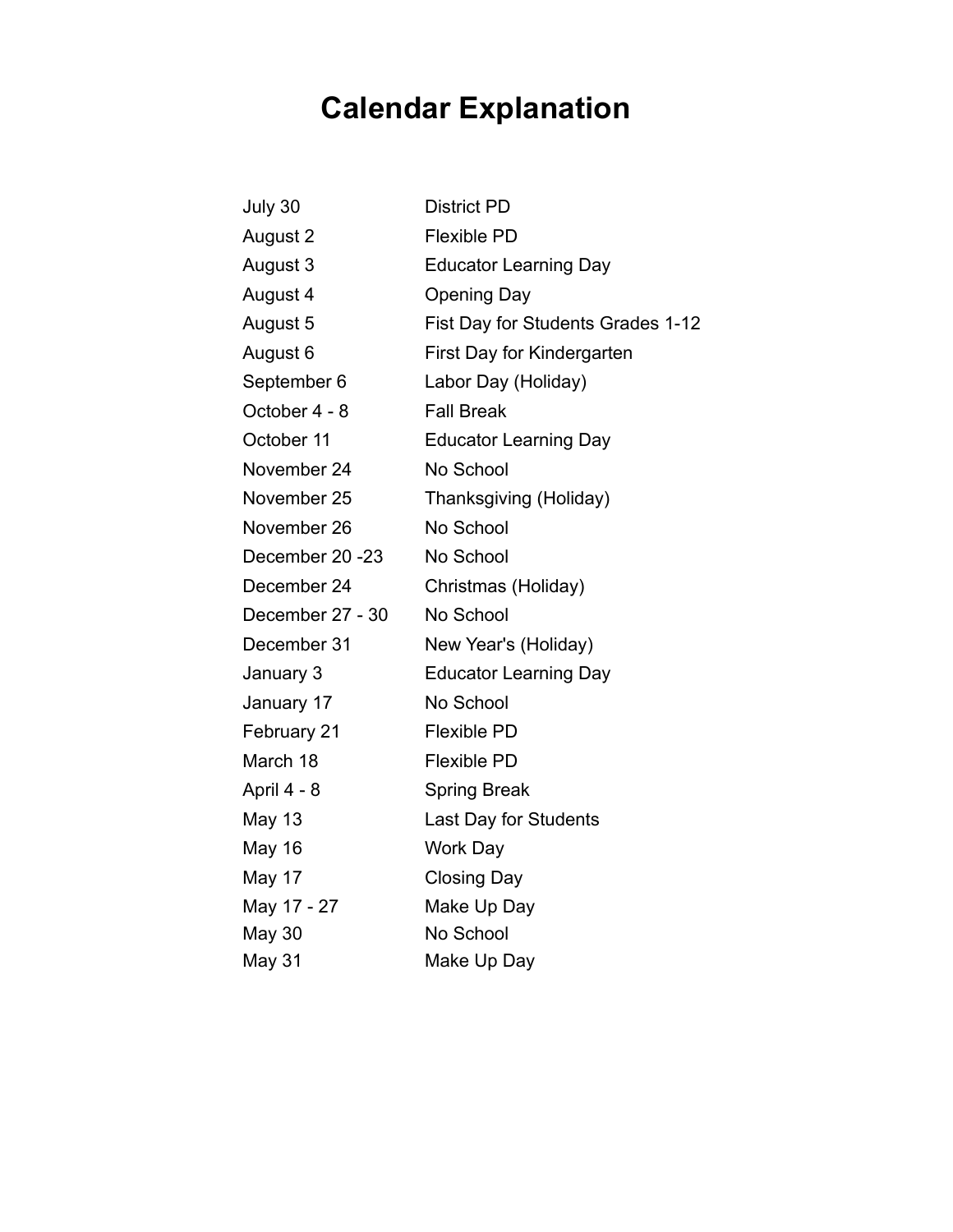## **Calendar Explanation**

| July 30          | <b>District PD</b>                |
|------------------|-----------------------------------|
| August 2         | Flexible PD                       |
| August 3         | <b>Educator Learning Day</b>      |
| August 4         | <b>Opening Day</b>                |
| August 5         | Fist Day for Students Grades 1-12 |
| August 6         | First Day for Kindergarten        |
| September 6      | Labor Day (Holiday)               |
| October 4 - 8    | <b>Fall Break</b>                 |
| October 11       | <b>Educator Learning Day</b>      |
| November 24      | No School                         |
| November 25      | Thanksgiving (Holiday)            |
| November 26      | No School                         |
| December 20 - 23 | No School                         |
| December 24      | Christmas (Holiday)               |
| December 27 - 30 | No School                         |
| December 31      | New Year's (Holiday)              |
| January 3        | <b>Educator Learning Day</b>      |
| January 17       | No School                         |
| February 21      | <b>Flexible PD</b>                |
| March 18         | <b>Flexible PD</b>                |
| April 4 - 8      | <b>Spring Break</b>               |
| <b>May 13</b>    | Last Day for Students             |
| May 16           | Work Day                          |
| May 17           | <b>Closing Day</b>                |
| May 17 - 27      | Make Up Day                       |
| May 30           | No School                         |
| May 31           | Make Up Day                       |